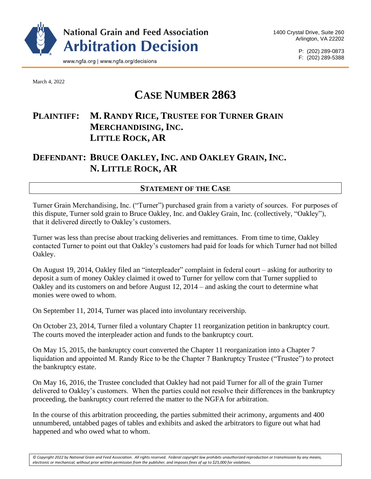

P: (202) 289-0873 F: (202) 289-5388

March 4, 2022

# **CASE NUMBER 2863**

# **PLAINTIFF: M. RANDY RICE, TRUSTEE FOR TURNER GRAIN MERCHANDISING, INC. LITTLE ROCK, AR**

# **DEFENDANT: BRUCE OAKLEY, INC. AND OAKLEY GRAIN, INC. N. LITTLE ROCK, AR**

## **STATEMENT OF THE CASE**

Turner Grain Merchandising, Inc. ("Turner") purchased grain from a variety of sources. For purposes of this dispute, Turner sold grain to Bruce Oakley, Inc. and Oakley Grain, Inc. (collectively, "Oakley"), that it delivered directly to Oakley's customers.

Turner was less than precise about tracking deliveries and remittances. From time to time, Oakley contacted Turner to point out that Oakley's customers had paid for loads for which Turner had not billed Oakley.

On August 19, 2014, Oakley filed an "interpleader" complaint in federal court – asking for authority to deposit a sum of money Oakley claimed it owed to Turner for yellow corn that Turner supplied to Oakley and its customers on and before August 12, 2014 – and asking the court to determine what monies were owed to whom.

On September 11, 2014, Turner was placed into involuntary receivership.

On October 23, 2014, Turner filed a voluntary Chapter 11 reorganization petition in bankruptcy court. The courts moved the interpleader action and funds to the bankruptcy court.

On May 15, 2015, the bankruptcy court converted the Chapter 11 reorganization into a Chapter 7 liquidation and appointed M. Randy Rice to be the Chapter 7 Bankruptcy Trustee ("Trustee") to protect the bankruptcy estate.

On May 16, 2016, the Trustee concluded that Oakley had not paid Turner for all of the grain Turner delivered to Oakley's customers. When the parties could not resolve their differences in the bankruptcy proceeding, the bankruptcy court referred the matter to the NGFA for arbitration.

In the course of this arbitration proceeding, the parties submitted their acrimony, arguments and 400 unnumbered, untabbed pages of tables and exhibits and asked the arbitrators to figure out what had happened and who owed what to whom.

*© Copyright 2022 by National Grain and Feed Association. All rights reserved. Federal copyright law prohibits unauthorized reproduction or transmission by any means, electronic or mechanical, without prior written permission from the publisher, and imposes fines of up to \$25,000 for violations.*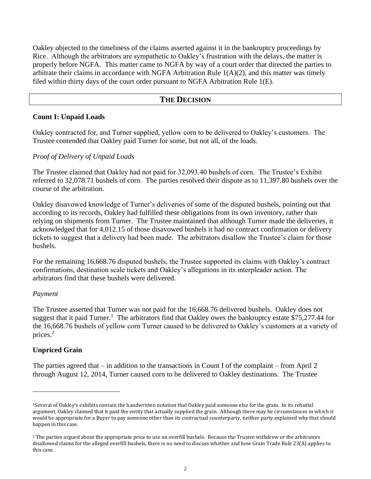Oakley objected to the timeliness of the claims asserted against it in the bankruptcy proceedings by Rice. Although the arbitrators are sympathetic to Oakley's frustration with the delays, the matter is properly before NGFA. This matter came to NGFA by way of a court order that directed the parties to arbitrate their claims in accordance with NGFA Arbitration Rule 1(A)(2), and this matter was timely filed within thirty days of the court order pursuant to NGFA Arbitration Rule 1(E).

### **THE DECISION**

#### **Count I: Unpaid Loads**

Oakley contracted for, and Turner supplied, yellow corn to be delivered to Oakley's customers. The Trustee contended that Oakley paid Turner for some, but not all, of the loads.

#### *Proof of Delivery of Unpaid Loads*

The Trustee claimed that Oakley had not paid for 32,093.40 bushels of corn. The Trustee's Exhibit referred to 32,078.71 bushels of corn. The parties resolved their dispute as to 11,397.80 bushels over the course of the arbitration.

Oakley disavowed knowledge of Turner's deliveries of some of the disputed bushels, pointing out that according to its records, Oakley had fulfilled these obligations from its own inventory, rather than relying on shipments from Turner. The Trustee maintained that although Turner made the deliveries, it acknowledged that for 4,012.15 of those disavowed bushels it had no contract confirmation or delivery tickets to suggest that a delivery had been made. The arbitrators disallow the Trustee's claim for those bushels.

For the remaining 16,668.76 disputed bushels, the Trustee supported its claims with Oakley's contract confirmations, destination scale tickets and Oakley's allegations in its interpleader action. The arbitrators find that these bushels were delivered.

#### *Payment*

The Trustee asserted that Turner was not paid for the 16,668.76 delivered bushels. Oakley does not suggest that it paid Turner.<sup>1</sup> The arbitrators find that Oakley owes the bankruptcy estate \$75,277.44 for the 16,668.76 bushels of yellow corn Turner caused to be delivered to Oakley's customers at a variety of prices.<sup>2</sup>

#### **Unpriced Grain**

The parties agreed that – in addition to the transactions in Count I of the complaint – from April 2 through August 12, 2014, Turner caused corn to be delivered to Oakley destinations. The Trustee

<sup>1</sup>Several of Oakley's exhibits contain the handwritten notation that Oakley paid someone else for the grain. In its rebuttal argument, Oakley claimed that it paid the entity that actually supplied the grain. Although there may be circumstances in which it would be appropriate for a Buyer to pay someone other than its contractual counterparty, neither party explained why that should happen in this case.

<sup>&</sup>lt;sup>2</sup> The parties argued about the appropriate price to use on overfill bushels. Because the Trustee withdrew or the arbitrators disallowed claims for the alleged overfill bushels, there is no need to discuss whether and how Grain Trade Rule 23(A) applies to this case.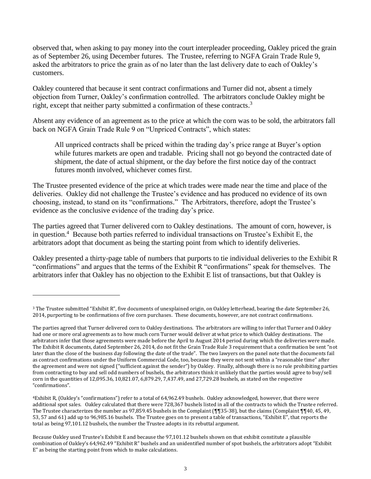observed that, when asking to pay money into the court interpleader proceeding, Oakley priced the grain as of September 26, using December futures. The Trustee, referring to NGFA Grain Trade Rule 9, asked the arbitrators to price the grain as of no later than the last delivery date to each of Oakley's customers.

Oakley countered that because it sent contract confirmations and Turner did not, absent a timely objection from Turner, Oakley's confirmation controlled. The arbitrators conclude Oakley might be right, except that neither party submitted a confirmation of these contracts.<sup>3</sup>

Absent any evidence of an agreement as to the price at which the corn was to be sold, the arbitrators fall back on NGFA Grain Trade Rule 9 on "Unpriced Contracts", which states:

All unpriced contracts shall be priced within the trading day's price range at Buyer's option while futures markets are open and tradable. Pricing shall not go beyond the contracted date of shipment, the date of actual shipment, or the day before the first notice day of the contract futures month involved, whichever comes first.

The Trustee presented evidence of the price at which trades were made near the time and place of the deliveries. Oakley did not challenge the Trustee's evidence and has produced no evidence of its own choosing, instead, to stand on its "confirmations." The Arbitrators, therefore, adopt the Trustee's evidence as the conclusive evidence of the trading day's price.

The parties agreed that Turner delivered corn to Oakley destinations. The amount of corn, however, is in question.<sup>4</sup> Because both parties referred to individual transactions on Trustee's Exhibit E, the arbitrators adopt that document as being the starting point from which to identify deliveries.

Oakley presented a thirty-page table of numbers that purports to tie individual deliveries to the Exhibit R "confirmations" and argues that the terms of the Exhibit R "confirmations" speak for themselves. The arbitrators infer that Oakley has no objection to the Exhibit E list of transactions, but that Oakley is

<sup>3</sup> The Trustee submitted "Exhibit R", five documents of unexplained origin, on Oakley letterhead, bearing the date September 26, 2014, purporting to be confirmations of five corn purchases. These documents, however, are not contract confirmations.

The parties agreed that Turner delivered corn to Oakley destinations. The arbitrators are willing to infer that Turner and Oakley had one or more oral agreements as to how much corn Turner would deliver at what price to which Oakley destinations. The arbitrators infer that those agreements were made before the April to August 2014 period during which the deliveries were made. The Exhibit R documents, dated September 26, 2014, do not fit the Grain Trade Rule 3 requirement that a confirmation be sent "not later than the close of the business day following the date of the trade". The two lawyers on the panel note that the documents fail as contract confirmations under the Uniform Commercial Code, too, because they were not sent within a "reasonable time" after the agreement and were not signed ("sufficient against the sender") by Oakley. Finally, although there is no rule prohibiting parties from contracting to buy and sell odd numbers of bushels, the arbitrators think it unlikely that the parties would agree to buy/sell corn in the quantities of 12,095.36, 10,821.07, 6,879.29, 7,437.49, and 27,729.28 bushels, as stated on the respective "confirmations".

<sup>4</sup>Exhibit R, (Oakley's "confirmations") refer to a total of 64,962.49 bushels. Oakley acknowledged, however, that there were additional spot sales. Oakley calculated that there were 728,367 bushels listed in all of the contracts to which the Trustee referred. The Trustee characterizes the number as 97,859.45 bushels in the Complaint (¶¶35-38), but the claims (Complaint ¶¶40, 45, 49, 53, 57 and 61) add up to 96,985.16 bushels. The Trustee goes on to present a table of transactions, "Exhibit E", that reports the total as being 97,101.12 bushels, the number the Trustee adopts in its rebuttal argument.

Because Oakley used Trustee's Exhibit E and because the 97,101.12 bushels shown on that exhibit constitute a plausible combination of Oakley's 64,962.49 "Exhibit R" bushels and an unidentified number of spot bushels, the arbitrators adopt "Exhibit E" as being the starting point from which to make calculations.